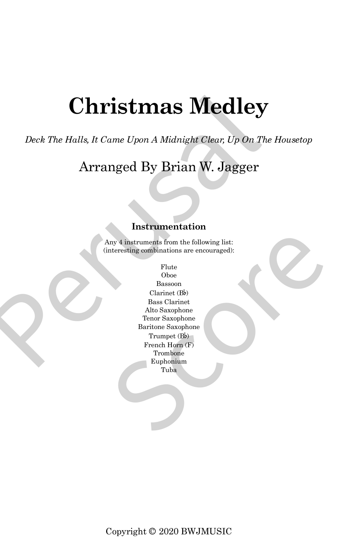# **Christmas Medley**

*Deck The Halls, It Came Upon A Midnight Clear, Up On The Housetop*

## Arranged By Brian W. Jagger

#### **Instrumentation**

Any 4 instruments from the following list: (interesting combinations are encouraged):

**Christmas Medley**<br>
Deck The Halls, It Came Upon A Midnight Clear, Up On The House<br>
Arranged By Brian W. Jagger<br>
Misstrumentation<br>
May 4 instrumentation<br>
May 4 instrumentation<br>
(Subject)<br>
Thute<br>
Discover<br>
Thute<br>
Discover<br> May 4 instruments from the following list:<br>
Interesting combinations are encouraged):<br>
Flute<br>
Dobe<br>
Basson<br>
Clarinet (Bb)<br>
Bass Clarinet<br>
Horo Saxophone<br>
Tenor Saxophone<br>
Trumpet (Bb)<br>
French Horn (F)<br>
Trombone<br>
Euphonium<br> Flute Oboe Bassoon Clarinet (B♭) Bass Clarinet Alto Saxophone Tenor Saxophone Baritone Saxophone Trumpet (Bb) French Horn (F) Trombone Euphonium Tuba

Copyright © 2020 BWJMUSIC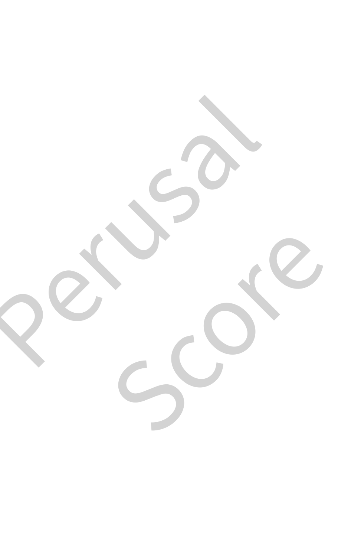Perusal Score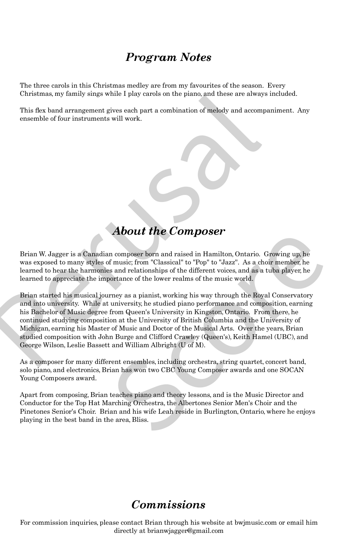#### *Program Notes*

The three carols in this Christmas medley are from my favourites of the season. Every Christmas, my family sings while I play carols on the piano, and these are always included.

This flex band arrangement gives each part a combination of melody and accompaniment. Any ensemble of four instruments will work.

#### *About the Composer*

Brian W. Jagger is a Canadian composer born and raised in Hamilton, Ontario. Growing up, he was exposed to many styles of music; from "Classical" to "Pop" to "Jazz". As a choir member, he learned to hear the harmonies and relationships of the different voices, and as a tuba player, he learned to appreciate the importance of the lower realms of the music world.

Christmas, my family sings while I play carols on the piano, and those are always included.<br>
This flex band arrangement gives each part a combination of melody and accompaniment. A<br>
ensemble of four instruments will work. **About the Composer**<br>In composer born and raised in Hamilton, Ontario. Growing up, be<br>of music; from "Classical" to "Pop" to "Jazz". As a choir member, he<br>is an relationships of the different voices, and as a tuba player, Brian started his musical journey as a pianist, working his way through the Royal Conservatory and into university. While at university, he studied piano performance and composition, earning his Bachelor of Music degree from Queen's University in Kingston, Ontario. From there, he continued studying composition at the University of British Columbia and the University of Michigan, earning his Master of Music and Doctor of the Musical Arts. Over the years, Brian studied composition with John Burge and Clifford Crawley (Queen's), Keith Hamel (UBC), and George Wilson, Leslie Bassett and William Albright (U of M).

As a composer for many different ensembles, including orchestra, string quartet, concert band, solo piano, and electronics, Brian has won two CBC Young Composer awards and one SOCAN Young Composers award.

Apart from composing, Brian teaches piano and theory lessons, and is the Music Director and Conductor for the Top Hat Marching Orchestra, the Albertones Senior Men's Choir and the Pinetones Senior's Choir. Brian and his wife Leah reside in Burlington, Ontario, where he enjoys playing in the best band in the area, Bliss.

#### *Commissions*

For commission inquiries, please contact Brian through his website at bwjmusic.com or email him directly at brianwjagger@gmail.com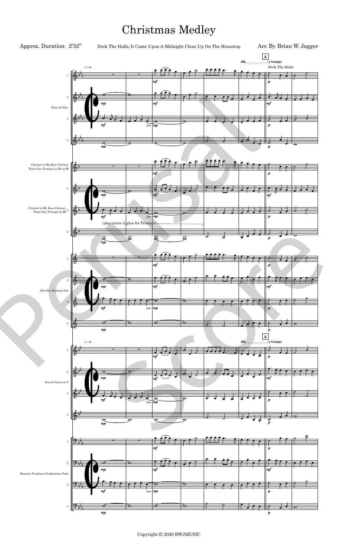### Christmas Medley

Perusal Score  $= 65$   $\overbrace{ }$  $\overline{\phantom{a}}$ £  $\overline{\phantom{a}}$ <u>e errer</u>  $\equiv$  $7 + 7 - 12$  $\sim$   $\sim$ r  $\Box$  and  $\Box$  and  $\Box$  and  $\Box$  and  $\Box$  and  $\Box$  and  $\Box$  and  $\Box$  and  $\Box$  and  $\Box$  and  $\Box$  and  $\Box$  and  $\Box$  and  $\Box$  and  $\Box$  and  $\Box$  and  $\Box$  and  $\Box$  and  $\Box$  and  $\Box$  and  $\Box$  and  $\Box$  and  $\Box$  and  $\Box$  and  $\Box$   $\circ$  $\cdot$   $\hat{r}$ Ė  $\overline{\cdot}$  $\overline{\phantom{a}}$ r  $\dddot{\phantom{0}}$ ┙═╝  $\overline{\phantom{a}}$  $\overline{\phantom{a}}$  $\overline{\phantom{a}}$  $\ddot{\phantom{0}}$  $\overrightarrow{a}$  $\overline{\cdot}$  $\begin{array}{ccc}\n\text{mf} \\
\hline\n\end{array}$  $\cdot$  $\ddot{\phantom{0}}$  $\sim$   $\sim$   $\sim$  $\leftarrow$   $\leftarrow$   $\rightarrow$   $\rightarrow$   $\rightarrow$   $\rightarrow$   $\rightarrow$  $\overline{\phantom{a}}$   $\overline{\phantom{a}}$   $\overline{\phantom{a}}$  $\overline{\phantom{a}}$  $\overline{\phantom{a}}$  $\overline{mp}$  and  $\overline{mp}$  and  $\overline{mp}$  and  $\overline{mp}$  and  $\overline{mp}$  and  $\overline{mp}$  and  $\overline{mp}$  and  $\overline{mp}$  and  $\overline{mp}$  and  $\overline{mp}$  and  $\overline{mp}$  and  $\overline{mp}$  and  $\overline{mp}$  and  $\overline{mp}$  and  $\overline{mp}$  and  $\overline{mp}$  and  $\overline{mp}$  and  $\overline{\bullet}$   $\overline{\bullet}$   $\overline{\bullet}$   $\overline{\bullet}$  $\overrightarrow{a}$  $\frac{1}{\epsilon}$ ہے ہے۔<br>م  $\frac{1}{\sqrt{2}}$  $\overline{\phantom{a}}$  $\mathbf{f}$  and  $\mathbf{f}$  and  $\mathbf{f}$  and  $\mathbf{f}$  and  $\mathbf{f}$  and  $\mathbf{f}$  and  $\mathbf{f}$  and  $\mathbf{f}$  and  $\mathbf{f}$  and  $\mathbf{f}$  and  $\mathbf{f}$  and  $\mathbf{f}$  and  $\mathbf{f}$  and  $\mathbf{f}$  and  $\mathbf{f}$  and  $\mathbf{f}$  and  $\mathbf{f}$  and  $\overline{\phantom{a}}$  $\epsilon \widehat{f}$ ė. E  $\overline{\phantom{a}}$ ffff  $\frac{1}{\sqrt{2}}$  $\frac{1}{2}$   $\frac{1}{2}$   $\frac{1}{2}$   $\frac{1}{2}$   $\frac{1}{2}$   $\frac{1}{2}$   $\frac{1}{2}$   $\frac{1}{2}$   $\frac{1}{2}$   $\frac{1}{2}$   $\frac{1}{2}$   $\frac{1}{2}$   $\frac{1}{2}$   $\frac{1}{2}$   $\frac{1}{2}$   $\frac{1}{2}$   $\frac{1}{2}$   $\frac{1}{2}$   $\frac{1}{2}$   $\frac{1}{2}$   $\frac{1}{2}$   $\frac{1}{2}$   $\bullet$   $\bullet$   $\circ$ உ  $\Box$  and  $\Box$  and  $\Box$  and  $\Box$  and  $\Box$  and  $\Box$  and  $\Box$  and  $\Box$  and  $\Box$  and  $\Box$  and  $\Box$  and  $\Box$  and  $\Box$  and  $\Box$  and  $\Box$  and  $\Box$  and  $\Box$  and  $\Box$  and  $\Box$  and  $\Box$  and  $\Box$  and  $\Box$  and  $\Box$  and  $\Box$  and  $\Box$   $\overline{\mathbf{c}}$ J Ė  $\overline{\phantom{a}}$  $\overline{1}$  $\frac{1}{2}$  $\cdot$   $\cdot$   $\cdot$   $\cdot$ E  $\cdot$   $\cdot$  $\sqrt{2}$  $\frac{1}{2}$  and  $\frac{1}{2}$  and  $\frac{1}{2}$  $\overline{\phantom{a}}$  $\begin{array}{ccc}\n\text{mf} & \text{m} \\
\hline\n\end{array}$ Ľ  $\sqrt{2}$  $\sigma$   $\sim$   $\sim$   $\sim$   $\sim$   $\overline{\phantom{a}}$  $\overline{\phantom{a}}$ e  $\overline{\overline{}}$  $\overline{\Theta}$   $\overline{\Theta}$   $\overline{\Theta}$   $\overline{\Theta}$   $\overline{\Theta}$   $\overline{\Theta}$   $\overline{\Theta}$   $\overline{\Theta}$   $\overline{\Theta}$   $\overline{\Theta}$   $\overline{\Theta}$   $\overline{\Theta}$   $\overline{\Theta}$   $\overline{\Theta}$   $\overline{\Theta}$   $\overline{\Theta}$   $\overline{\Theta}$   $\overline{\Theta}$   $\overline{\Theta}$   $\overline{\Theta}$   $\overline{\Theta}$   $\overline{\Theta}$   $\overline{\Theta}$   $\overline{\Theta}$   $\overline{\$  $\overrightarrow{\sigma}$   $\overrightarrow{\sigma}$   $\overrightarrow{\sigma}$  $\overline{\phantom{a}}$  $\overrightarrow{a}$  $\overline{\cdot}$  $\overline{\phantom{a}}$  $\mathbf{m}$   $\mathbf{r}$   $\mathbf{r}$   $\mathbf{r}$   $\mathbf{r}$   $\mathbf{r}$   $\mathbf{r}$  $\overline{\phantom{a}}$  $\cdot$ E  $\overline{\phantom{0}}$ E <u>' ' ' '</u>  $\left( \right)$  $5 - 7 - 12$  $\overrightarrow{a}$  $\overline{P}$  $\Box$  and  $\Box$  and  $\Box$  and  $\Box$  and  $\Box$  and  $\Box$  and  $\Box$  and  $\Box$  and  $\Box$  and  $\Box$  and  $\Box$  and  $\Box$  and  $\Box$  and  $\Box$  and  $\Box$  and  $\Box$  and  $\Box$  and  $\Box$  and  $\Box$  and  $\Box$  and  $\Box$  and  $\Box$  and  $\Box$  and  $\Box$  and  $\Box$   $\sigma$   $\sigma$  $\cdot$   $\hat{r}$ Ē  $\overline{\phantom{0}}$  $\overline{\phantom{1}}$ r  $\cdot$   $\cdot$   $\cdot$  $\overline{\phantom{a}}$ ┙ Ē ث الد  $\equiv$  $\frac{1}{2}$  $\overline{\phantom{0}}$  $\begin{array}{ccc}\n m & & \rightarrow & m\n \end{array}$ Ľ  $\equiv$  $\frac{1}{2}$   $\frac{1}{2}$   $\frac{1}{2}$   $\frac{1}{2}$   $\frac{1}{2}$   $\frac{1}{2}$   $\frac{1}{2}$   $\frac{1}{2}$   $\frac{1}{2}$   $\frac{1}{2}$   $\frac{1}{2}$   $\frac{1}{2}$   $\frac{1}{2}$   $\frac{1}{2}$   $\frac{1}{2}$   $\frac{1}{2}$   $\frac{1}{2}$   $\frac{1}{2}$   $\frac{1}{2}$   $\frac{1}{2}$   $\frac{1}{2}$   $\frac{1}{2}$   $\sim$   $\sim$   $\sim$   $\sim$   $\sim$   $\sim$   $\sim$  $\cdot$   $\cdot$   $\cdot$  $\cdot$   $\cdot$   $\cdot$ ≗  $\boldsymbol{p}$  and the contract of  $\boldsymbol{p}$  $\sigma$   $\sigma$   $\sigma$   $\sigma$  $\overrightarrow{a}$  $\overline{a}$  $\cdot$   $\parallel$   $\rho$  $\overline{\phantom{a}}$  $\overline{\phantom{a}}$  $\overline{\theta} = 65$  $\mathbb{F}$   $\mathbb{F}$   $\mathbb{F}$   $\mathbb{F}$   $\mathbb{F}$   $\mathbb{F}$   $\mathbb{F}$   $\mathbb{F}$   $\mathbb{F}$   $\mathbb{F}$   $\mathbb{F}$   $\mathbb{F}$   $\mathbb{F}$   $\mathbb{F}$   $\mathbb{F}$   $\mathbb{F}$   $\mathbb{F}$   $\mathbb{F}$   $\mathbb{F}$   $\mathbb{F}$   $\mathbb{F}$   $\mathbb{F}$   $\mathbb{F}$   $\mathbb{F}$   $\mathbb{$  $\overline{\phantom{a}}$  $\frac{1}{\pi}$  $\overline{\phantom{0}}$  $\frac{1}{2}$  ,  $\frac{1}{2}$  ,  $\frac{1}{2}$  ,  $\frac{1}{2}$  ,  $\frac{1}{2}$  $\overline{\mathbf{u}}$  $\frac{1}{\sqrt{2}}$ ᡒ  $\overrightarrow{ }$  $\frac{1}{\sigma}$  $\mathbb{F}$  and  $\mathbb{F}$  and  $\mathbb{F}$  are  $\mathbb{F}$  and  $\mathbb{F}$  and  $\mathbb{F}$  are  $\mathbb{F}$  and  $\mathbb{F}$  are  $\mathbb{F}$  and  $\mathbb{F}$  are  $\mathbb{F}$  and  $\mathbb{F}$  are  $\mathbb{F}$  and  $\mathbb{F}$  are  $\mathbb{F}$  and  $\mathbb{F}$  are  $\mathbb{F}$  and  $\circ$   $\bullet$ . . . .  $\overline{\phantom{a}}$  $\overline{\phantom{a}}$  $\overline{\phantom{a}}$  $\overline{a}$ <u> "Т</u> ┙║┵  $\overline{\phantom{a}}$  $\overline{\phantom{a}}$ r  $\overline{a}$  $\frac{1}{2}$  ,  $\frac{1}{2}$  ,  $\frac{1}{2}$  $\overline{\cdot}$  $\frac{m f}{\text{m} p}$  $\boldsymbol{p}$ ÷  $\overline{a}$ <del>27 27 27 2</del>  $\frac{1}{\sqrt{2}}$  $\overrightarrow{ }$  $\overline{\mathbb{P}}$  $\cdot$   $\cdot$   $\cdot$  $\frac{1}{2}$  $\overline{p}$  $\sigma$   $\sigma$   $\sigma$   $\sigma$  $\frac{1}{2}$   $\frac{1}{2}$  $\overline{\phantom{0}}$  $\overrightarrow{z}$   $\overrightarrow{z}$  $\overline{\phantom{a}}$  $\overline{\phantom{a}}$   $\overline{\phantom{a}}$  $\epsilon$ E  $\overline{\phantom{0}}$  $\overline{\phantom{0}}$  $\epsilon$  prese.  $\overline{ }$   $\overline{\phantom{a}}$ €  $\Box$  and  $\Box$  and  $\Box$  and  $\Box$  and  $\Box$  and  $\Box$  and  $\Box$  and  $\Box$  and  $\Box$  and  $\Box$  and  $\Box$  and  $\Box$  and  $\Box$  and  $\Box$  and  $\Box$  and  $\Box$  and  $\Box$  and  $\Box$  and  $\Box$  and  $\Box$  and  $\Box$  and  $\Box$  and  $\Box$  and  $\Box$  and  $\Box$   $\delta$  $\cdot$   $\hat{r}$  $\overline{\phantom{0}}$  $\cdot$  $\overline{\phantom{0}}$ p  $\epsilon$   $\epsilon$  $\overline{\phantom{a}}$  $\overline{\phantom{a}}$  $\overline{\phantom{0}}$ <u>م الم</u>  $\overline{ }$  $\frac{1}{2}$   $\frac{1}{2}$   $\frac{1}{2}$   $\frac{1}{2}$   $\frac{1}{2}$   $\frac{1}{2}$   $\frac{1}{2}$   $\frac{1}{2}$   $\frac{1}{2}$   $\frac{1}{2}$   $\frac{1}{2}$   $\frac{1}{2}$   $\frac{1}{2}$   $\frac{1}{2}$   $\frac{1}{2}$   $\frac{1}{2}$   $\frac{1}{2}$   $\frac{1}{2}$   $\frac{1}{2}$   $\frac{1}{2}$   $\frac{1}{2}$   $\frac{1}{2}$   $\overline{\phantom{0}}$  $\begin{array}{ccc}\n\text{mf} & & & \text{m} \\
\text{mf} & & & \text{m} \\
\end{array}$ Ľ  $\equiv$  $\frac{1}{2}$   $\frac{1}{2}$   $\frac{1}{2}$   $\frac{1}{2}$   $\frac{1}{2}$   $\frac{1}{2}$   $\frac{1}{2}$   $\frac{1}{2}$   $\frac{1}{2}$   $\frac{1}{2}$   $\frac{1}{2}$   $\frac{1}{2}$   $\frac{1}{2}$   $\frac{1}{2}$   $\frac{1}{2}$   $\frac{1}{2}$   $\frac{1}{2}$   $\frac{1}{2}$   $\frac{1}{2}$   $\frac{1}{2}$   $\frac{1}{2}$   $\frac{1}{2}$   $\delta$   $\rightarrow$   $\rightarrow$   $\rightarrow$   $\rightarrow$  $\cdot$   $\cdot$   $\cdot$  $\cdot$   $\cdot$   $\cdot$  $\overline{P}$  $\boldsymbol{p}$  is a set of the set of the set of the set of the set of the set of the set of the set of the set of the set of the set of the set of the set of the set of the set of the set of the set of the set of the set of th  $\sigma$   $\sigma$   $\sigma$   $\sigma$  $\circ$   $\circ$   $\circ$  $\overline{\phantom{0}}$  $\cdot$   $\cdot$   $\cdot$  $\overline{\phantom{a}}$  $\overline{\cdot}$  $\frac{2}{9}$ Γ9 ⊯ ₿, ⋭ ₿, ≵ 13  $\mathbb{P}$ Ķ ∳⊧ Ь,  $\frac{1}{2}$  $\breve{\Phi}$  $\frac{b}{c}$ ∲⊧ b.,  $\frac{1}{2}$ ∳⊧ Ь,  $\frac{1}{2}$ ∳⊧ ∳⊧ ∳⊧ ∳⊧ <u>ര് - </u>  $\Phi$ <u>কি </u> ∲\_ ∲⊧  $\frac{1}{2}$  $\breve{\Phi}$  $\frac{1}{2}$ ∳⊧  $\frac{b}{c}$ 气  $\overline{b}$ ID. 气  $\overline{b}$  $2^{\cdot}$ Ь,  $\overline{b}$  $2^{\frac{1}{2}}$ Ь,  $\overline{b}$ **rit. a tempo** = 65 **rit. a tempo**  $\begin{picture}(180,10) \put(0,0){\line(1,0){10}} \put(10,0){\line(1,0){10}} \put(10,0){\line(1,0){10}} \put(10,0){\line(1,0){10}} \put(10,0){\line(1,0){10}} \put(10,0){\line(1,0){10}} \put(10,0){\line(1,0){10}} \put(10,0){\line(1,0){10}} \put(10,0){\line(1,0){10}} \put(10,0){\line(1,0){10}} \put(10,0){\line(1,0){10}} \put(10,0){\line($  $\begin{picture}(130,10) \put(0,0){\line(1,0){15}} \put(15,0){\line(1,0){15}} \put(15,0){\line(1,0){15}} \put(15,0){\line(1,0){15}} \put(15,0){\line(1,0){15}} \put(15,0){\line(1,0){15}} \put(15,0){\line(1,0){15}} \put(15,0){\line(1,0){15}} \put(15,0){\line(1,0){15}} \put(15,0){\line(1,0){15}} \put(15,0){\line(1,0){15}} \put(15,0){\line($  $\begin{picture}(180,10) \put(0,0){\line(1,0){10}} \put(10,0){\line(1,0){10}} \put(10,0){\line(1,0){10}} \put(10,0){\line(1,0){10}} \put(10,0){\line(1,0){10}} \put(10,0){\line(1,0){10}} \put(10,0){\line(1,0){10}} \put(10,0){\line(1,0){10}} \put(10,0){\line(1,0){10}} \put(10,0){\line(1,0){10}} \put(10,0){\line(1,0){10}} \put(10,0){\line($  $\begin{picture}(180,10) \put(0,0){\line(1,0){10}} \put(10,0){\line(1,0){10}} \put(10,0){\line(1,0){10}} \put(10,0){\line(1,0){10}} \put(10,0){\line(1,0){10}} \put(10,0){\line(1,0){10}} \put(10,0){\line(1,0){10}} \put(10,0){\line(1,0){10}} \put(10,0){\line(1,0){10}} \put(10,0){\line(1,0){10}} \put(10,0){\line(1,0){10}} \put(10,0){\line($  $\begin{picture}(180,10) \put(0,0){\line(1,0){10}} \put(10,0){\line(1,0){10}} \put(10,0){\line(1,0){10}} \put(10,0){\line(1,0){10}} \put(10,0){\line(1,0){10}} \put(10,0){\line(1,0){10}} \put(10,0){\line(1,0){10}} \put(10,0){\line(1,0){10}} \put(10,0){\line(1,0){10}} \put(10,0){\line(1,0){10}} \put(10,0){\line(1,0){10}} \put(10,0){\line($ 1 2 3 4 Flute & Oboe Clarinet in Bb, Bass Clarinet, Tenor Sax, Trumpet in Bb in B♭ 1 Clarinet in Bb, Bass Clarinet, 2<br>Tenor Sax, Trumpet in B♭ 3 1 2 3 4 Alto Sax, Baritone Sax 1 2 3 4 French Horns in F 1 2 3 4 Bassoon, Trombone, Euphonium, Tuba Deck The Halls (play octave higher for Trumpet)  $\overline{\phantom{a}}$ . **A A** Approx. Duration: 2'32" Deck The Halls, It Came Upon A Midnight Clear, Up On The Housetop Arr. By Brian W. Jagger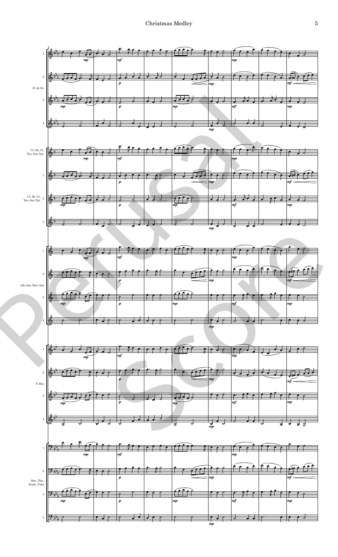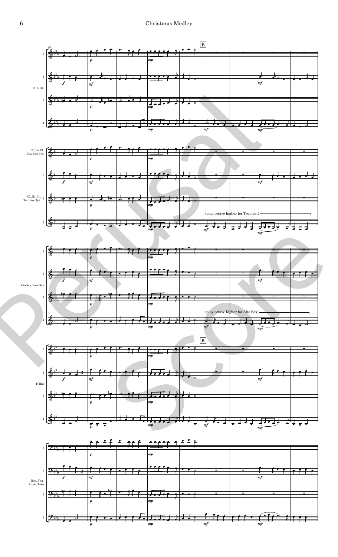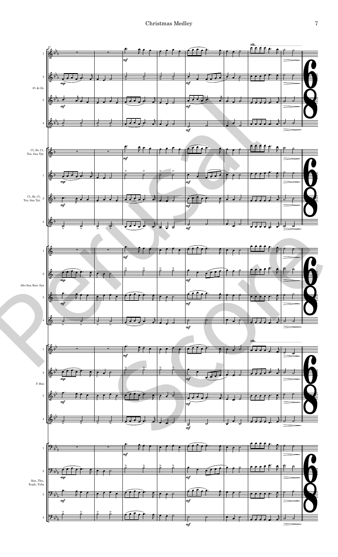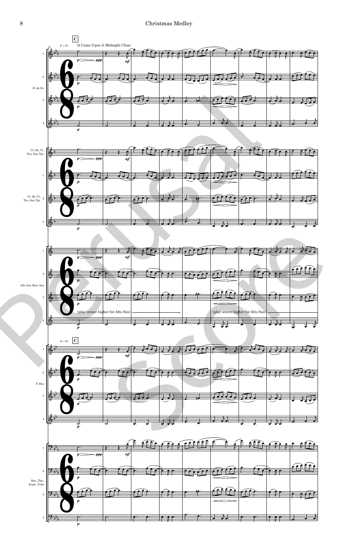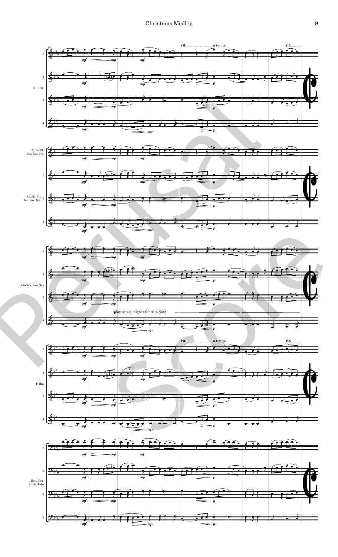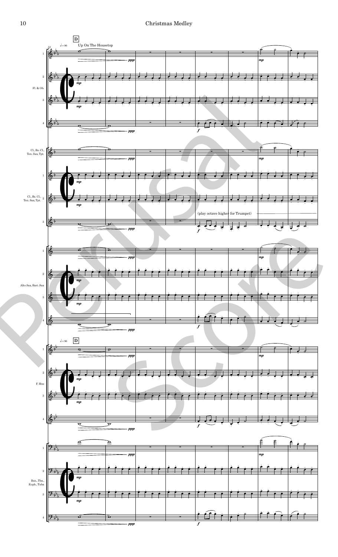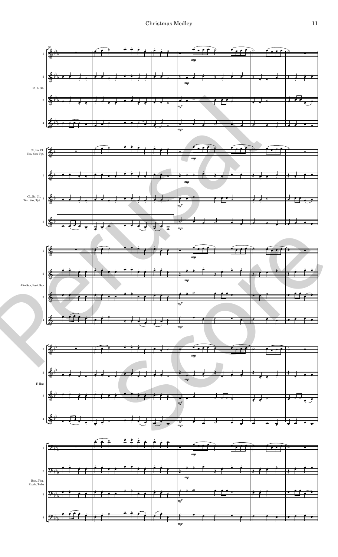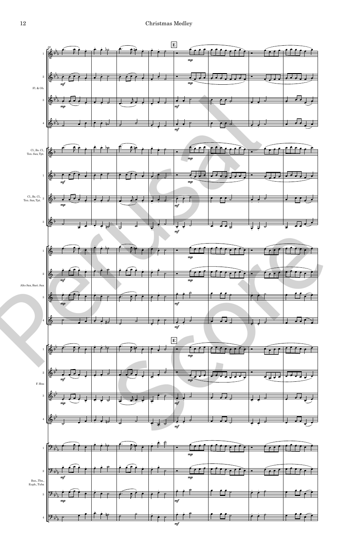